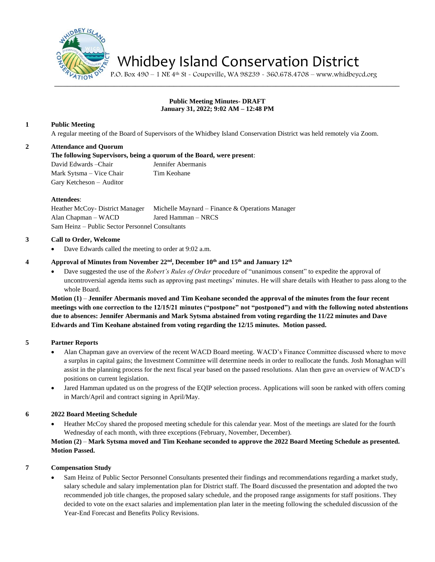

# Whidbey Island Conservation District

P.O. Box 490 – 1 NE 4th St - Coupeville, WA 98239 - 360.678.4708 – www.whidbeycd.org

# **Public Meeting Minutes- DRAFT January 31, 2022; 9:02 AM – 12:48 PM**

# **1 Public Meeting**

A regular meeting of the Board of Supervisors of the Whidbey Island Conservation District was held remotely via Zoom.

# **2 Attendance and Quorum**

**The following Supervisors, being a quorum of the Board, were present**: David Edwards –Chair Jennifer Abermanis Mark Sytsma – Vice Chair Tim Keohane Gary Ketcheson – Auditor

#### **Attendees**:

Heather McCoy- District Manager Michelle Maynard – Finance & Operations Manager Alan Chapman – WACD Jared Hamman – NRCS Sam Heinz – Public Sector Personnel Consultants

# **3 Call to Order, Welcome**

Dave Edwards called the meeting to order at 9:02 a.m.

# **4 Approval of Minutes from November 22 nd, December 10th and 15th and January 12th**

• Dave suggested the use of the *Robert's Rules of Order* procedure of "unanimous consent" to expedite the approval of uncontroversial agenda items such as approving past meetings' minutes. He will share details with Heather to pass along to the whole Board.

**Motion (1)** – **Jennifer Abermanis moved and Tim Keohane seconded the approval of the minutes from the four recent meetings with one correction to the 12/15/21 minutes ("postpone" not "postponed") and with the following noted abstentions due to absences: Jennifer Abermanis and Mark Sytsma abstained from voting regarding the 11/22 minutes and Dave Edwards and Tim Keohane abstained from voting regarding the 12/15 minutes. Motion passed.**

# **5 Partner Reports**

- Alan Chapman gave an overview of the recent WACD Board meeting. WACD's Finance Committee discussed where to move a surplus in capital gains; the Investment Committee will determine needs in order to reallocate the funds. Josh Monaghan will assist in the planning process for the next fiscal year based on the passed resolutions. Alan then gave an overview of WACD's positions on current legislation.
- Jared Hamman updated us on the progress of the EQIP selection process. Applications will soon be ranked with offers coming in March/April and contract signing in April/May.

# **6 2022 Board Meeting Schedule**

• Heather McCoy shared the proposed meeting schedule for this calendar year. Most of the meetings are slated for the fourth Wednesday of each month, with three exceptions (February, November, December).

# **Motion (2)** – **Mark Sytsma moved and Tim Keohane seconded to approve the 2022 Board Meeting Schedule as presented. Motion Passed.**

#### **7 Compensation Study**

• Sam Heinz of Public Sector Personnel Consultants presented their findings and recommendations regarding a market study, salary schedule and salary implementation plan for District staff. The Board discussed the presentation and adopted the two recommended job title changes, the proposed salary schedule, and the proposed range assignments for staff positions. They decided to vote on the exact salaries and implementation plan later in the meeting following the scheduled discussion of the Year-End Forecast and Benefits Policy Revisions.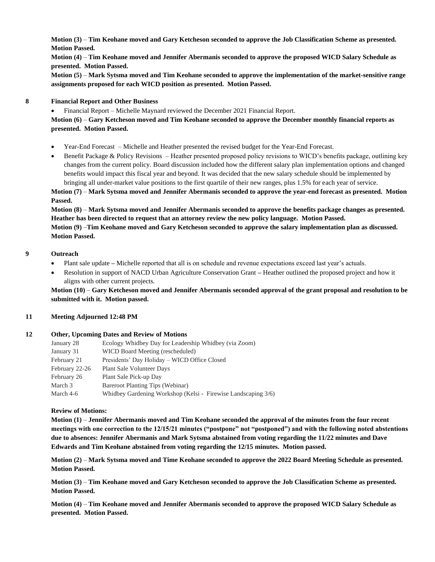**Motion (3)** – **Tim Keohane moved and Gary Ketcheson seconded to approve the Job Classification Scheme as presented. Motion Passed.**

**Motion (4)** – **Tim Keohane moved and Jennifer Abermanis seconded to approve the proposed WICD Salary Schedule as presented. Motion Passed.**

**Motion (5)** – **Mark Sytsma moved and Tim Keohane seconded to approve the implementation of the market-sensitive range assignments proposed for each WICD position as presented. Motion Passed.**

#### **8 Financial Report and Other Business**

• Financial Report – Michelle Maynard reviewed the December 2021 Financial Report.

**Motion (6)** – **Gary Ketcheson moved and Tim Keohane seconded to approve the December monthly financial reports as presented. Motion Passed.**

- Year-End Forecast Michelle and Heather presented the revised budget for the Year-End Forecast.
- Benefit Package & Policy Revisions Heather presented proposed policy revisions to WICD's benefits package, outlining key changes from the current policy. Board discussion included how the different salary plan implementation options and changed benefits would impact this fiscal year and beyond. It was decided that the new salary schedule should be implemented by bringing all under-market value positions to the first quartile of their new ranges, plus 1.5% for each year of service.

**Motion (7)** – **Mark Sytsma moved and Jennifer Abermanis seconded to approve the year-end forecast as presented. Motion Passed.**

**Motion (8)** – **Mark Sytsma moved and Jennifer Abermanis seconded to approve the benefits package changes as presented. Heather has been directed to request that an attorney review the new policy language. Motion Passed. Motion (9)** –**Tim Keohane moved and Gary Ketcheson seconded to approve the salary implementation plan as discussed.** 

**Motion Passed.**

#### **9 Outreach**

- Plant sale update Michelle reported that all is on schedule and revenue expectations exceed last year's actuals.
- Resolution in support of NACD Urban Agriculture Conservation Grant **–** Heather outlined the proposed project and how it aligns with other current projects.

**Motion (10)** – **Gary Ketcheson moved and Jennifer Abermanis seconded approval of the grant proposal and resolution to be submitted with it. Motion passed.**

#### **11 Meeting Adjourned 12:48 PM**

#### **12 Other, Upcoming Dates and Review of Motions**

| January 28     | Ecology Whidbey Day for Leadership Whidbey (via Zoom)         |
|----------------|---------------------------------------------------------------|
| January 31     | WICD Board Meeting (rescheduled)                              |
| February 21    | Presidents' Day Holiday – WICD Office Closed                  |
| February 22-26 | <b>Plant Sale Volunteer Days</b>                              |
| February 26    | Plant Sale Pick-up Day                                        |
| March 3        | Bareroot Planting Tips (Webinar)                              |
| March 4-6      | Whidbey Gardening Workshop (Kelsi - Firewise Landscaping 3/6) |

#### **Review of Motions:**

**Motion (1)** – **Jennifer Abermanis moved and Tim Keohane seconded the approval of the minutes from the four recent meetings with one correction to the 12/15/21 minutes ("postpone" not "postponed") and with the following noted abstentions due to absences: Jennifer Abermanis and Mark Sytsma abstained from voting regarding the 11/22 minutes and Dave Edwards and Tim Keohane abstained from voting regarding the 12/15 minutes. Motion passed.**

**Motion (2)** – **Mark Sytsma moved and Time Keohane seconded to approve the 2022 Board Meeting Schedule as presented. Motion Passed.**

**Motion (3)** – **Tim Keohane moved and Gary Ketcheson seconded to approve the Job Classification Scheme as presented. Motion Passed.**

**Motion (4)** – **Tim Keohane moved and Jennifer Abermanis seconded to approve the proposed WICD Salary Schedule as presented. Motion Passed.**